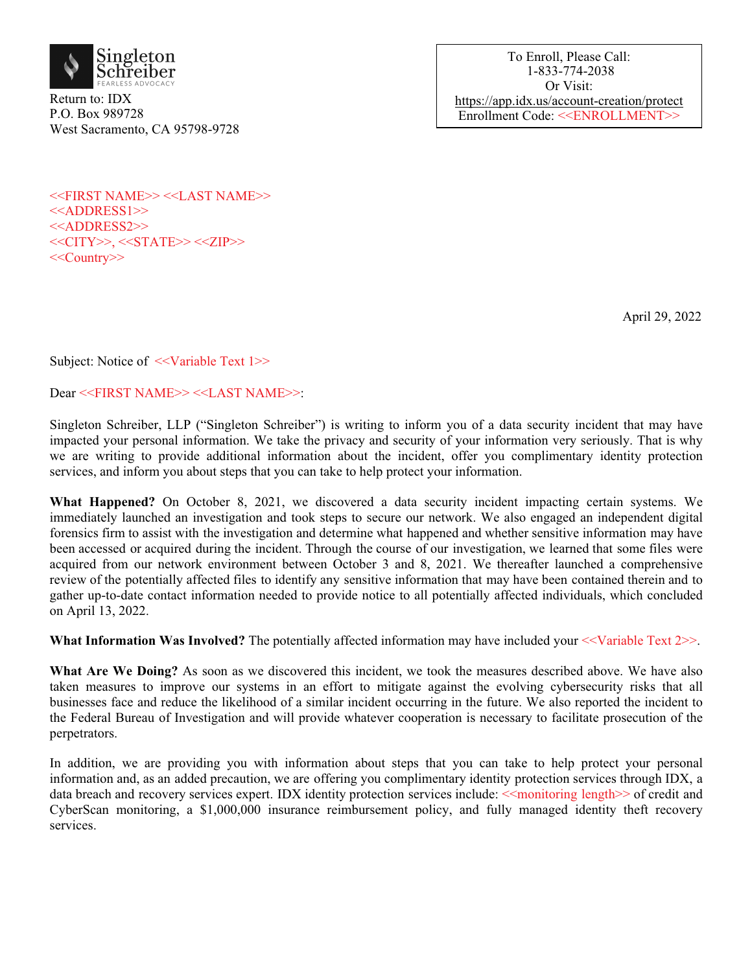

Return to: IDX P.O. Box 989728 West Sacramento, CA 95798-9728

To Enroll, Please Call: 1-833-774-2038 Or Visit: https://app.idx.us/account-creation/protect Enrollment Code: <<ENROLLMENT>>

<<FIRST NAME>> <<LAST NAME>> <<ADDRESS1>> <<ADDRESS2>> <<<CITY>>, <<STATE>> <<ZIP>> <<Country>>

April 29, 2022

Subject: Notice of  $\ll$ Variable Text 1>>

Dear <<FIRST NAME>> <<LAST NAME>>:

Singleton Schreiber, LLP ("Singleton Schreiber") is writing to inform you of a data security incident that may have impacted your personal information. We take the privacy and security of your information very seriously. That is why we are writing to provide additional information about the incident, offer you complimentary identity protection services, and inform you about steps that you can take to help protect your information.

What Happened? On October 8, 2021, we discovered a data security incident impacting certain systems. We immediately launched an investigation and took steps to secure our network. We also engaged an independent digital forensics firm to assist with the investigation and determine what happened and whether sensitive information may have been accessed or acquired during the incident. Through the course of our investigation, we learned that some files were acquired from our network environment between October 3 and 8, 2021. We thereafter launched a comprehensive review of the potentially affected files to identify any sensitive information that may have been contained therein and to gather up-to-date contact information needed to provide notice to all potentially affected individuals, which concluded on April 13, 2022.

**What Information Was Involved?** The potentially affected information may have included your <<Variable Text 2>>.

**What Are We Doing?** As soon as we discovered this incident, we took the measures described above. We have also taken measures to improve our systems in an effort to mitigate against the evolving cybersecurity risks that all businesses face and reduce the likelihood of a similar incident occurring in the future. We also reported the incident to the Federal Bureau of Investigation and will provide whatever cooperation is necessary to facilitate prosecution of the perpetrators.

In addition, we are providing you with information about steps that you can take to help protect your personal information and, as an added precaution, we are offering you complimentary identity protection services through IDX, a data breach and recovery services expert. IDX identity protection services include:  $\leq$ monitoring length $\geq$  of credit and CyberScan monitoring, a \$1,000,000 insurance reimbursement policy, and fully managed identity theft recovery services.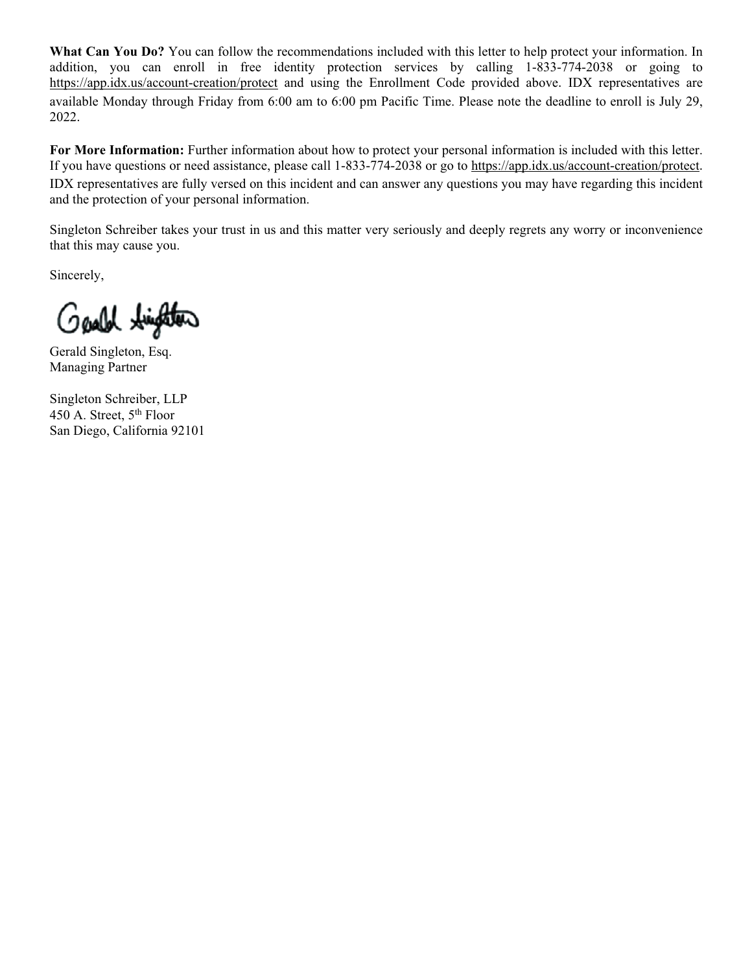What Can You Do? You can follow the recommendations included with this letter to help protect your information. In addition, you can enroll in free identity protection services by calling 1-833-774-2038 or going to https://app.idx.us/account-creation/protect and using the Enrollment Code provided above. IDX representatives are available Monday through Friday from 6:00 am to 6:00 pm Pacific Time. Please note the deadline to enroll is July 29, 2022.

**For More Information:** Further information about how to protect your personal information is included with this letter. If you have questions or need assistance, please call 1-833-774-2038 or go to https://app.idx.us/account-creation/protect. IDX representatives are fully versed on this incident and can answer any questions you may have regarding this incident and the protection of your personal information.

Singleton Schreiber takes your trust in us and this matter very seriously and deeply regrets any worry or inconvenience that this may cause you.

Sincerely,

Gash tington

Gerald Singleton, Esq. Managing Partner

Singleton Schreiber, LLP 450 A. Street, 5<sup>th</sup> Floor San Diego, California 92101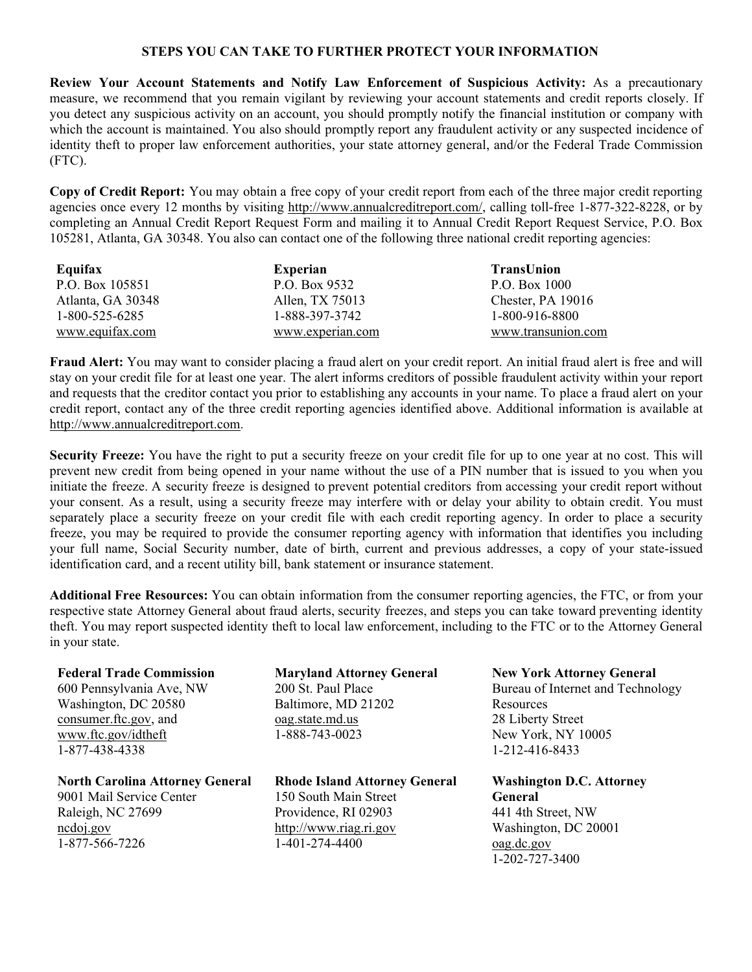#### **STEPS YOU CAN TAKE TO FURTHER PROTECT YOUR INFORMATION**

**Review Your Account Statements and Notify Law Enforcement of Suspicious Activity:** As a precautionary measure, we recommend that you remain vigilant by reviewing your account statements and credit reports closely. If you detect any suspicious activity on an account, you should promptly notify the financial institution or company with which the account is maintained. You also should promptly report any fraudulent activity or any suspected incidence of identity theft to proper law enforcement authorities, your state attorney general, and/or the Federal Trade Commission (FTC).

**Copy of Credit Report:** You may obtain a free copy of your credit report from each of the three major credit reporting agencies once every 12 months by visiting [http://www.annualcreditreport.com/,](http://www.annualcreditreport.com/) calling toll-free 1-877-322-8228, or by completing an Annual Credit Report Request Form and mailing it to Annual Credit Report Request Service, P.O. Box 105281, Atlanta, GA 30348. You also can contact one of the following three national credit reporting agencies:

| Equifax           | Experian         | TransUnion         |
|-------------------|------------------|--------------------|
| P.O. Box 105851   | P.O. Box 9532    | P.O. Box 1000      |
| Atlanta, GA 30348 | Allen, TX 75013  | Chester, PA 19016  |
| 1-800-525-6285    | 1-888-397-3742   | 1-800-916-8800     |
| www.equifax.com   | www.experian.com | www.transunion.com |

**Fraud Alert:** You may want to consider placing a fraud alert on your credit report. An initial fraud alert is free and will stay on your credit file for at least one year. The alert informs creditors of possible fraudulent activity within your report and requests that the creditor contact you prior to establishing any accounts in your name. To place a fraud alert on your credit report, contact any of the three credit reporting agencies identified above. Additional information is available at [http://www.annualcreditreport.com.](http://www.annualcreditreport.com)

**Security Freeze:** You have the right to put a security freeze on your credit file for up to one year at no cost. This will prevent new credit from being opened in your name without the use of a PIN number that is issued to you when you initiate the freeze. A security freeze is designed to prevent potential creditors from accessing your credit report without your consent. As a result, using a security freeze may interfere with or delay your ability to obtain credit. You must separately place a security freeze on your credit file with each credit reporting agency. In order to place a security freeze, you may be required to provide the consumer reporting agency with information that identifies you including your full name, Social Security number, date of birth, current and previous addresses, a copy of your state-issued identification card, and a recent utility bill, bank statement or insurance statement.

**Additional Free Resources:** You can obtain information from the consumer reporting agencies, the FTC, or from your respective state Attorney General about fraud alerts, security freezes, and steps you can take toward preventing identity theft. You may report suspected identity theft to local law enforcement, including to the FTC or to the Attorney General in your state.

# **Federal Trade Commission** 600 Pennsylvania Ave, NW Washington, DC 20580 consumer.ftc.gov, and www.ftc.gov/idtheft 1-877-438-4338

**North Carolina Attorney General** 9001 Mail Service Center Raleigh, NC 27699 ncdoj.gov 1-877-566-7226

# **Maryland Attorney General** 200 St. Paul Place Baltimore, MD 21202 oag.state.md.us 1-888-743-0023

**Rhode Island Attorney General** 150 South Main Street Providence, RI 02903 http://www.riag.ri.gov 1-401-274-4400

**New York Attorney General** Bureau of Internet and Technology Resources 28 Liberty Street New York, NY 10005 1-212-416-8433

**Washington D.C. Attorney General** 441 4th Street, NW Washington, DC 20001 oag.dc.gov 1-202-727-3400